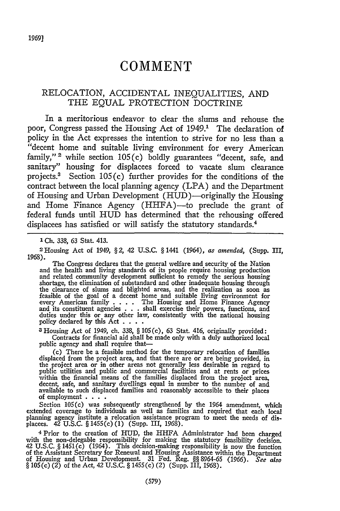# **COMMENT**

## RELOCATION, ACCIDENTAL INEQUALITIES, AND THE EQUAL PROTECTION DOCTRINE

In a meritorious endeavor to clear the slums and rehouse the poor, Congress passed the Housing Act of 1949.<sup>1</sup> The declaration of policy in the Act expresses the intention to strive for no less than a "decent home and suitable living environment for every American family,"  $2$  while section 105(c) boldly guarantees "decent, safe, and sanitary" housing for displacees forced to vacate slum clearance projects.<sup>3</sup> Section  $105(c)$  further provides for the conditions of the contract between the local planning agency (LPA) and the Department of Housing and Urban Development (HUD)-originally the Housing and Home Finance Agency (HHFA)-to preclude the grant of federal funds until HUD has determined that the rehousing offered displacees has satisfied or will satisfy the statutory standards.<sup>4</sup>

**I** Ch. 338, 63 Stat. 413.

<sup>2</sup> Housing Act of 1949, § 2, 42 U.S.C. § 1441 (1964), *as amended,* (Supp. III, 1968).

The Congress declares that the general welfare and security of the Nation and the health and living standards of its people require housing production and related community development sufficient to remedy the serious housing and related community development sufficient to remedy the serious housing<br>shortage, the elimination of substandard and other inadequate housing through<br>the clearance of slums and blighted areas, and the realization as so and its constituent agencies . . . shall exercise their powers, functions, and duties under this or any other law, consistently with the national housing policy declared by this Act **....**

**3** Housing Act of 1949, ch. 338, § 105 *(c),* 63 Stat. 416, originally provided: Contracts for financial aid shall be made only with a duly authorized local public agency and shall require that-

(c) There be a feasible method for the temporary relocation of families<br>displaced from the project area, and that there are or are being provided, in<br>the project area or in other areas not generally less desirable in regar public utilities and public and commercial facilities and at rents or prices within the financial means of the families displaced from the project area, decent, safe, and sanitary dwellings equal in number to the number of and available to such displaced families and reasonably accessible to their places of employment **....**

Section 105(c) was subsequently strengthened by the 1964 amendment, which extended coverage to individuals as well as families and required that each local planning agency institute a relocation assistance program to meet the needs of displacees. 42 U.S.C. § 1455(c) (1) (Supp. III, 1968).

<sup>4</sup> Prior to the creation of HUD, the HHFA Administrator had been charged with the non-delegable responsibility for making the statutory feasibility decision 42 U.S.C. § 1451(c) (1964). This decision-making responsibility of the Assistant Secretary for Renewal and Housing Assistance within the Department of Housing and Urban Development. 31 Fed. Reg. §§ 8964-65 (1966). *See also* § 105(c) (2) of the Act, 42 U.S.C. § 1455(c) (2) (Supp. III, 1968).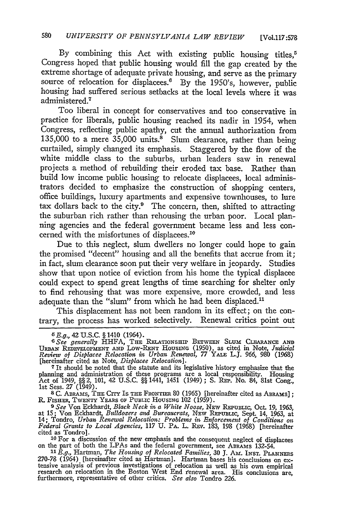By combining this Act with existing public housing titles,<sup>5</sup> Congress hoped that public housing would fill the gap created **by** the extreme shortage of adequate private housing, and serve as the primary source of relocation for displacees.<sup>6</sup> By the 1950's, however, public housing had suffered serious setbacks at the local levels where it was administered.<sup>7</sup>

Too liberal in concept for conservatives and too conservative in practice for liberals, public housing reached its nadir in 1954, when Congress, reflecting public apathy, cut the annual authorization from 135,000 to a mere **35,000** units.8 Slum clearance, rather than being curtailed, simply changed its emphasis. Staggered **by** the flow of the white middle class to the suburbs, urban leaders saw in renewal projects a method of rebuilding their eroded tax base. Rather than build low income public housing to relocate displacees, local administrators decided to emphasize the construction of shopping centers, office buildings, luxury apartments and expensive townhouses, to lure tax dollars back to the city. $9$  The concern, then, shifted to attracting the suburban rich rather than rehousing the urban poor. Local planning agencies and the federal government became less and less concerned with the misfortunes of displacees.'0

Due to this neglect, slum dwellers no longer could hope to gain the promised "decent" housing and all the benefits that accrue from it; in fact, slum clearance soon put their very welfare in jeopardy. Studies show that upon notice of eviction from his home the typical displacee could expect to spend great lengths of time searching for shelter only to find rehousing that was more expensive, more crowded, and less adequate than the "slum" from which he had been displaced."

This displacement has not been random in its effect; on the contrary, the process has worked selectively. Renewal critics point out

**<sup>7</sup>**It should be noted that the statute and its legislative history emphasize that the planning and administration of these programs are a local responsibility. Housing Act of 1949, §§ 2, **101,** 42 U.S.C. §§ 1441, 1451 (1949) ; **S.** REP. No. 84, 81st Cong., **1st** Sess. 27 (1949). **<sup>8</sup>**C. ABRAMS, TEE **CITY** Is THE FRONTIER **80** (1965) [hereinafter cited as ABRs];

8 C. ABRAMS, THE CITY IS THE FRONTIER 80 (1965) [hereinafter cited as ABRAMS]; R. FISHER, TWENTY YEARS OF PUBLIC HOUSING 102 (1959).

<sup>9</sup> *See* Von Eckhardt, *Black Neck in a White Noose*, NEW REPUBLIC, Oct. 19, 1963, at 15; Von Eckhardt, *Bulldozers and Bureaucrats*, NEW REPUBLIC, Sept. 14, 1963, at 14; Tondro, *Urban Renewal Relocation: Problems in Enforcement of Conditions on Federal Grants to Local Agencies,* 117 **U.** PA. L. REv. 183, 198 (1968) [hereinafter cited as Tondro].

**3 <sup>0</sup>**For a discussion of the new emphasis and the consequent neglect of displacees on the part of both the LPAs and the federal government, see ABRAMS 132-54.

*11 E.g.,* Hartman, *The Housing of Relocated Families, 30* **J.** Am. INST. PLANNxRS 270-78 (1964) [hereinafter cited as Hartman]. Hartman bases his conclusions on ex-<br>tensive analysis of previous investigations of relocation as well as his conclusions on ex-<br>research on relocation in the Boston West End r furthermore, representative of other critics. *See also* Tondro 226.

*G E.g.,* 42 **U.S.C.** § 1410 (1964).

<sup>&</sup>lt;sup>6</sup> See generally HHFA, THE RELATIONSHIP BETWEEN SLUM CLEARANCE AND URBAN REDEVELOPMENT AND LOW-RENT HOUSING (1950), as cited in Note, Judicial Review of Displacee Relocation in Urban Renewal, 77 YALE L.J. 966, 980 (1968) [hereinafter cited as Note, *Displacee Relocation].*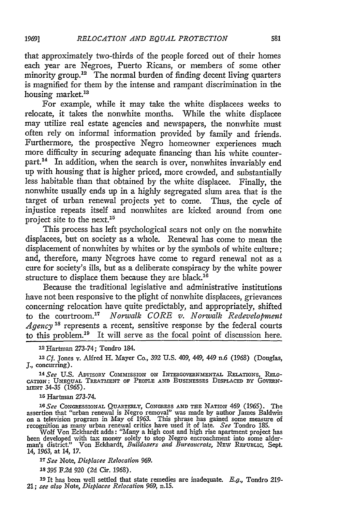that approximately two-thirds of the people forced out of their homes each year are Negroes, Puerto Ricans, or members of some other minority group.<sup>12</sup> The normal burden of finding decent living quarters is magnified for them by the intense and rampant discrimination in the housing market.<sup>13</sup>

For example, while it may take the white displacees weeks to relocate, it takes the nonwhite months. While the white displacee may utilize real estate agencies and newspapers, the nonwhite must often rely on informal information provided by family and friends. Furthermore, the prospective Negro homeowner experiences much more difficulty in securing adequate financing than his white counterpart.<sup>14</sup> In addition, when the search is over, nonwhites invariably end up with housing that is higher priced, more crowded, and substantially less habitable than that obtained by the white displacee. Finally, the nonwhite usually ends up in a highly segregated slum area that is the target of urban renewal projects yet to come. Thus, the cycle of injustice repeats itself and nonwhites are kicked around from one project site to the next.<sup>15</sup>

This process has left psychological scars not only on the nonwhite displacees, but on society as a whole. Renewal has come to mean the displacement of nonwhites by whites or by the symbols of white culture; and, therefore, many Negroes have come to regard renewal not as a cure for society's ills, but as a deliberate conspiracy by the white power structure to displace them because they are black.<sup>16</sup>

Because the traditional legislative and administrative institutions have not been responsive to the plight of nonwhite displacees, grievances concerning relocation have quite predictably, and appropriately, shifted to the courtroom.<sup>17</sup> Norwalk CORE v. Norwalk Redevelopment *Agency 's* represents a recent, sensitive response by the federal courts to this problem.<sup>19</sup> It will serve as the focal point of discussion here.

*<sup>13</sup>Cf.* Jones v. Alfred H. Mayer Co., 392 U.S. 409, 449, 449 n.6 (1968) (Douglas, J., concurring).

*14 See* U.S. ADVISORY **CommIssIoN** ON **INTERGOVERNmENTAL** RELATIoNs, RELo-CATION: UNEQUAL TREATMENT OF PEOPLE **AND BUSINESSES** DISPLACED BY GOVERN-**MENT** 34-35 (1965).

15 Hartman 273-74.

*'6 See* CONGRESSIONAL QUARTERLY, **CONGRESS AND THE** NATION 469 (1965). The assertion that "urban renewal is Negro removal" was made by author James Baldwin<br>on a television program in May of 1963. This phrase has gained some measure of<br>recognition as many urban renewal critics have used it of late

Wolf Von Eckhardt adds: "Many a high cost and high rise apartment project has been developed with tax money solely to stop Negro encroachment into some alder-man's district." Von Eckhardt, *Bulldozers and Bureaucrats,* NEW REPUBLIC, Sept. 14, 1963, at 14, **17.**

*<sup>17</sup>See* Note, *Displacee Relocation 969.*

*<sup>18</sup>*395 **F.2d** *920* (2d Cir. 1968).

**19** It has been well settled that state remedies are inadequate. *E.g.,* Tondro 219- 21; *see also* Note, *Displacee Relocation 969,* n.15.

*1969]*

<sup>12</sup> Hartman 273-74; Tondro 184.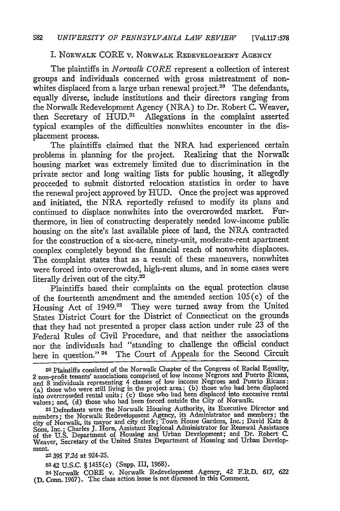#### I. NORWALK CORE v. NORWALK **REDEVELOPMENT AGENCY**

The plaintiffs in *Norwalk CORE* represent a collection of interest groups and individuals concerned with gross mistreatment of nonwhites displaced from a large urban renewal project.<sup>20</sup> The defendants, equally diverse, include institutions and their directors ranging from the Norwalk Redevelopment Agency (NRA) to Dr. Robert C. Weaver, then Secretary of HUD.<sup>21</sup> Allegations in the complaint asserted typical examples of the difficulties nonwhites encounter in the displacement process.

The plaintiffs claimed that the NRA had experienced certain problems in planning for the project. Realizing that the Norwalk housing market was extremely limited due to discrimination in the private sector and long waiting lists for public housing, it allegedly proceeded to submit distorted relocation statistics in order to have the renewal project approved by HUD. Once the project was approved and initiated, the NRA reportedly refused to modify its plans and continued to displace nonwhites into the overcrowded market. Furthermore, in lieu of constructing desperately needed low-income public housing on the site's last available piece of land, the NRA contracted for the construction of a six-acre, ninety-unit, moderate-rent apartment complex completely beyond the financial reach of nonwhite displacees. The complaint states that as a result of these maneuvers, nonwhites were forced into overcrowded, high-rent slums, and in some cases were literally driven out of the city. $2^2$ 

Plaintiffs based their complaints on the equal protection clause of the fourteenth amendment and the amended section 105 (c) of the Housing Act of 1949.<sup>23</sup> They were turned away from the United States District Court for the District of Connecticut on the grounds that they had not presented a proper class action under rule 23 of the Federal Rules of Civil Procedure, and that neither the associations nor the individuals had "standing to challenge the official conduct here in question."<sup>24</sup> The Court of Appeals for the Second Circuit

**22395** F2d at 924-25.

**2342** U.S.C. § 1455(c) (Supp. III, 1968).

**<sup>24</sup>**Norwalk CORE v. Norwalk Redevelopment Agency, 42 F.R.D. 617, 622 (D. Conn. 1967). The class action issue is not discussed in this Comment.

**<sup>20</sup>**Plaintiffs consisted of the Norwalk Chapter of the Congress of Racial Equality, 2 non-profit tenants' associations comprised of low income Negroes and Puerto Ricans<br>and 8 individuals representing 4 classes of low income Negroes and Puerto Ricans (a) those who were still living in the project area; (b) those who had been displaced into overcrowded rental units; (c) those who bad been displaced into excessive rental values; and, **(d)** those who had been forced outside the City of Norwalk.

**<sup>21</sup>**Defendants were the Norwalk Housing Authority, its Executive Director and members; the Norwalk Redevelopment Agency, its Administrator and members; the city of Norwalk, its mayor and city clerk; Town House Gardens, Inc.; David Katz & Sons, Inc.; Charles **J.** Horn, Assistant Regional Administrator for Renewal Assistance of the U.S. Department of Housing and Urban Development; and Dr. Robert C. Weaver, Secretary of the United States Department of Housing and Urban Development.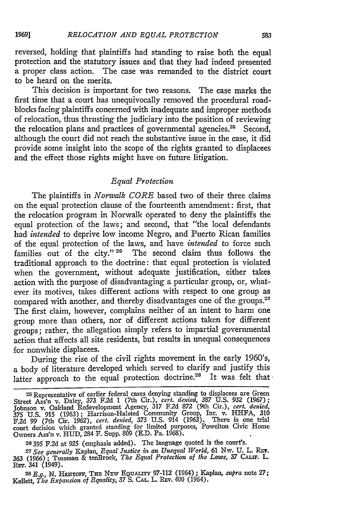reversed, holding that plaintiffs had standing to raise both the equal protection and the statutory issues and that they had indeed presented a proper class action. The case was remanded to the district court to be heard on the merits.

This decision is important for two reasons. The case marks the first time that a court has unequivocally removed the procedural roadblocks facing plaintiffs concerned with inadequate and improper methods of relocation, thus thrusting the judiciary into the position of reviewing the relocation plans and practices of governmental agencies.<sup>25</sup> Second, although the court did not reach the substantive issue in the case, it did provide some insight into the scope of the rights granted to displacees and the effect those rights might have on future litigation.

## *Equal Protection*

The plaintiffs in *Norwalk CORE* based two of their three claims on the equal protection clause of the fourteenth amendment: first, that the relocation program in Norwalk operated to deny the plaintiffs the equal protection of the laws; and second, that "the local defendants *had intended* to deprive low income Negro, and Puerto Rican families of the equal protection of the laws, and have *intended* to force such families out of the city." **26** The second claim thus follows the traditional approach to the doctrine: that equal protection is violated when the government, without adequate justification, either takes action with the purpose of disadvantaging a particular group, or, whatever its motives, takes different actions with respect to one group as compared with another, and thereby disadvantages one of the groups.<sup>27</sup> The first claim, however, complains neither of an intent to harm one group more than others, nor of different actions taken for different groups; rather, the allegation simply refers to impartial governmental action that affects all site residents, but results in unequal consequences for nonwhite displacees.

During the rise of the civil rights movement in the early 1960's, a body of literature developed which served to clarify and justify this latter approach to the equal protection doctrine.<sup>28</sup> It was felt that

**26395** F.2d at *925* (emphasis added). The language quoted is the court's.

**<sup>25</sup>**Representative of earlier federal cases denying standing to displacees are Green Street Ass'n v. Daley, 373 F.2d 1 (7th Cir.), *cert. denied,* 387 U.S. 932 (1967); Johnson v. Oakland Redevelopment Agency, **317** F.2d **872** (9th Cir.), *cert. denied,* 375 U.S. 915 (1963); Harrison-Halsted Community Group, Inc. v. HHFA, **<sup>310</sup>** F.2d 99 (7th Cir. 1962), *cert. denied,* 373 U.S. 914 (1963). There is one trial court decision which granted standing for limited purposes, Powelton Civic Home Owners Ass'n v. HUD, 284 F. Supp. 809 (E.D. Pa. 1968).

*<sup>2</sup> <sup>7</sup> See generally* Kaplan, *Equal Justice in an Unequal World,* **61 Nw. U.** L. Rlx. 363 (1966) ; Tussman & tenBroek, *The Equal Protection of the Laws,* 37 **CALiF.** L. REv. 341 (1949).

*<sup>2</sup> <sup>8</sup> E.g.,* N. **HENToV, TEE NEw EouALITY** 97-112 (1964) ; Kaplan, *supra* note 27; Kellett, *The Expansion of Equality, 37* **S.** CAL. L. **REv.** 400 (1964).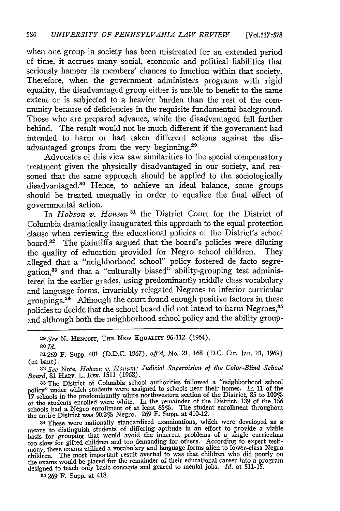when one group in society has been mistreated for an extended period of time, it accrues many social, economic and political liabilities that seriously hamper its members' chances to function within that society. Therefore, when the government administers programs with rigid equality, the disadvantaged group either is unable to benefit to the same extent or is subjected to a heavier burden than the rest of the community because of deficiencies in the requisite fundamental background. Those who are prepared advance, while the disadvantaged fall farther behind. The result would not be much different if the government had intended to harm or had taken different actions against the disadvantaged groups from the very beginning.29

Advocates of this view saw similarities to the special compensatory treatment given the physically disadvantaged in our society, and reasoned that the same approach should be applied to the sociologically disadvantaged.<sup>30</sup> Hence, to achieve an ideal balance, some groups should be treated unequally in order to equalize the final effect of governmental action.

In *Hobson v. Hansen 31* the District Court for the District of Columbia dramatically inaugurated this approach to the equal protection clause when reviewing the educational policies of the District's school board.32 The plaintiffs argued that the board's policies were diluting the quality of education provided for Negro school children. They alleged that a "neighborhood school" policy fostered de facto segregation,33 and that a "culturally biased" ability-grouping test administered in the earlier grades, using predominantly middle class vocabulary and language forms, invariably relegated Negroes to inferior curricular groupings.34 Although the court found enough positive factors in these policies to decide that the school board did not intend to harm Negroes,<sup>35</sup> and although both the neighborhood school policy and the ability group-

*2 9 See* **N. HENToFF, THE NEW** EQUALrry 96-112 (1964).

**<sup>30</sup>***Id.*

**B1** 269 F. Supp. 401 **(D.D.C.** 1967), *aff'd,* No. 21, 168 **(D.C.** Cir. Jan. 21, 1969) (en banc).

*3 2 See* Note, *Hobson v. Hansen: Judicial Supervision, of the Color-Blind School Board, 81 HARV. L. REV. 1511 (1968)* 

33 The District of Columbia school authorities followed a "neighborhood school policy" under which students were assigned to schools near their homes. In 11 of the 17 schools in the predominantly white northwestern section of the District, 85 to 100% of the students enrolled were white. In the remainder of the District, 139 of the 156<br>schools had a Negro enrollment of at least 85%. The student enrollment throughout<br>the entire District was 90.2% Negro. 269 F. Supp. at 4

34These were nationally standardized examinations, which were developed as a means to distinguish students of differing aptitude in an effort to provide a viable basis for grouping that would avoid the inherent problems of a single curriculum booslow for gifted children and too demanding for others. According to expert testimony, these exams utilized a vocabulary and language forms alien to lower-class Negro children. The most important result averted to was th the exams would be placed for the remainder of their educational career into a program designed to teach only basic concepts and geared to menial jobs. *Id.* at 511-15.

**<sup>35</sup>**269 F. Supp. at 418.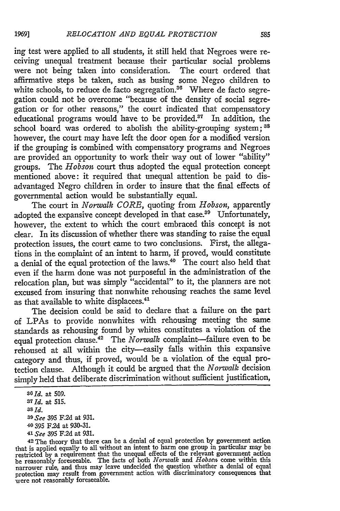ing test were applied to all students, it still held that Negroes were receiving unequal treatment because their particular social problems were not being taken into consideration. The court ordered that affirmative steps be taken, such as busing some Negro children to white schools, to reduce de facto segregation.<sup>36</sup> Where de facto segregation could not be overcome "because of the density of social segregation or for other reasons," the court indicated that compensatory educational programs would have to be provided.37 In addition, the school board was ordered to abolish the ability-grouping system; **38** however, the court may have left the door open for a modified version if the grouping is combined with compensatory programs and Negroes are provided an opportunity to work their way out of lower "ability" groups. The *Hobson* court thus adopted the equal protection concept mentioned above: it required that unequal attention be paid to disadvantaged Negro children in order to insure that the final effects of governmental action would be substantially equal.

The court in *Norwalk CORE,* quoting from *Hobson,* apparently adopted the expansive concept developed in that **case.39** Unfortunately, however, the extent to which the court embraced this concept is not clear. In its discussion of whether there was standing to raise the equal protection issues, the court came to two conclusions. First, the allegations in the complaint of an intent to harm, if proved, would constitute a denial of the equal protection of the laws. $40$  The court also held that even if the harm done was not purposeful in the administration of the relocation plan, but was simply "accidental" to it, the planners are not excused from insuring that nonwhite rehousing reaches the same level as that available to white displacees.<sup>4</sup>

The decision could be said to declare that a failure on the part of LPAs to provide nonwhites with rehousing meeting the same standards as rehousing found by whites constitutes a violation of the equal protection clause.<sup>42</sup> The *Norwalk* complaint-failure even to be rehoused at all within the city-easily falls within this expansive category and thus, if proved, would be a violation of the equal protection clause. Although it could be argued that the *Norwalk* decision simply held that deliberate discrimination without sufficient justification,

19691

*<sup>3</sup>O Id.* at 509.

*<sup>37</sup> Id.* at **515.**

**<sup>38</sup>***Id. 3O See* **395 F.2d** at **931.**

**<sup>40</sup>**395 F.2d at 930-31. *<sup>4</sup> 1 See* **395 F.2d** at 931.

<sup>42</sup> The theory that there can be a denial of equal protection by government action that is applied equally to all without an intent to harm one group in particular may be restricted by a requirement that the unequal effects of the relevant government action<br>be reasonably foreseeable. The facts of both *N* narrower rule, and thus may leave undecided the question whether a denial of equal protection may result from government action with discriminatory consequences that were not reasonably foreseeable.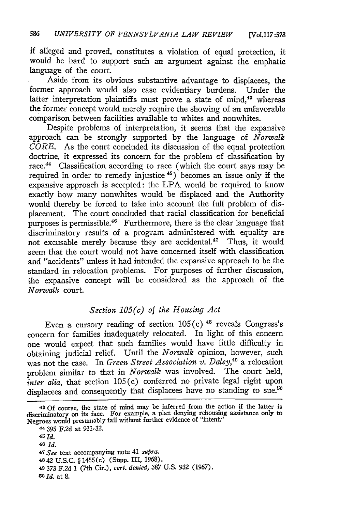if alleged and proved, constitutes a violation of equal protection, it would be hard to support such an argument against the emphatic language of the court.

Aside from its obvious substantive advantage to displacees, the former approach would also ease evidentiary burdens. Under the latter interpretation plaintiffs must prove a state of mind, $43$  whereas the former concept would merely require the showing of an unfavorable comparison between facilities available to whites and nonwhites.

Despite problems of interpretation, it seems that the expansive approach can be strongly supported by the language of *Norwalk CORE.* As the court concluded its discussion of the equal protection doctrine, it expressed its concern for the problem of classification by race.<sup>44</sup> Classification according to race (which the court says may be required in order to remedy injustice **45)** becomes an issue only if the expansive approach is accepted: the LPA would be required to know exactly how many nonwhites would be displaced and the Authority would thereby be forced to take into account the full problem of displacement. The court concluded that racial classification for beneficial purposes is permissible.<sup>46</sup> Furthermore, there is the clear language that discriminatory results of a program administered with equality are not excusable merely because they are accidental.<sup>47</sup> Thus, it would seem that the court would not have concerned itself with classification and "accidents" unless it had intended the expansive approach to be the standard in relocation problems. For purposes of further discussion, the expansive concept will be considered as the approach of the *Norwalk* court.

## *Section 105(c) of the Housing Act*

Even a cursory reading of section 105(c)<sup>48</sup> reveals Congress's concern for families inadequately relocated. In light of this concern one would expect that such families would have little difficulty in obtaining judicial relief. Until the *Norwalk* opinion, however, such was not the case. In *Green Street Association v. Daley,40* a relocation problem similar to that in *Norwalk* was involved. The court held, *inter alia*, that section 105(c) conferred no private legal right upon displacees and consequently that displacees have no standing to sue.<sup>50</sup>

**44** 395 F.2d at 931-32. *45 Id.* **48** *Id. 47See* text accompanying note 41 *supra.* **4842** U.S.C. § 1455(c) (Supp. 111, 1968). **<sup>49</sup>**373 F.2d 1 (7th Cir.), *cert. denied,* 387 U.S. **932** (1967). *0 Id.* at **8.**

**<sup>43</sup>** Of course, the state of mind may be inferred from the action if the latter is discriminatory on its face. For example, a plan denying rehousing assistance only to Negroes would presumably fall without further evidence of "intent."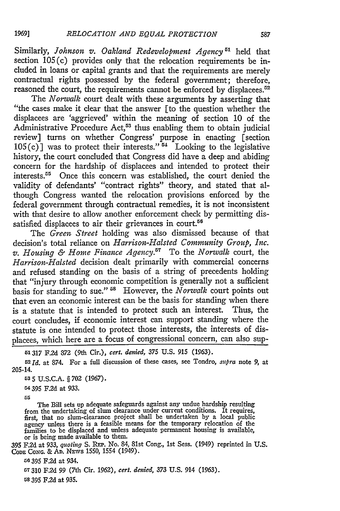Similarly, *Johnson v. Oakland Redevelopment Agency*<sup>51</sup> held that section 105(c) provides only that the relocation requirements be included in loans or capital grants and that the requirements are merely contractual rights possessed by the federal government; therefore, reasoned the court, the requirements cannot be enforced by displacees.<sup>52</sup>

The *Norwalk* court dealt with these arguments by asserting that "the cases make it clear that the answer [to the question whether the displacees are 'aggrieved' within the meaning of section 10 of the Administrative Procedure Act,<sup>53</sup> thus enabling them to obtain judicial review] turns on whether Congress' purpose in enacting [section  $105(c)$ ] was to protect their interests."<sup>54</sup> Looking to the legislative history, the court concluded that Congress did have a deep and abiding concern for the hardship of displacees and intended to protect their interests.<sup>55</sup> Once this concern was established, the court denied the validity of defendants' "contract rights" theory, and stated that although Congress wanted the relocation provisions enforced by the federal government through contractual remedies, it is not inconsistent with that desire to allow another enforcement check by permitting dissatisfied displacees to air their grievances in court.<sup>56</sup>

The *Green Street* holding was also dismissed because of that decision's total reliance on *Harrison-Halsted Community Group, Inc. v. Housing & Home Finance Agency."* To the *Norwalk* court, the *Harrison-Halsted* decision dealt primarily with commercial concerns and refused standing on the basis of a string of precedents holding that "injury through economic competition is generally not a sufficient basis for standing to sue." **5'** However, the *Norwalk* court points out that even an economic interest can be the basis for standing when there is a statute that is intended to protect such an interest. Thus, the court concludes, **if** economic interest can support standing where the statute is one intended to protect those interests, the interests of displacees, which here are a focus of congressional concern, can also sup-

*51317* **F.2d** 372 (9th Cir.), *cert. denied,* **375 U.S.** 915 (1963).

*52Id.* at 874. For a full discussion of these cases, see Tondro, *.upra* note 9, at 205-14.

**53 5** U.S.C.A. § 702 (1967).

54 **395** F.2d at 933.

**55**

1969]

The Bill sets up adequate safeguards against any undue hardship resulting from the undertaking of slum clearance under current conditions. It requires, first, that no slum-clearance project shall be undertaken by a local public agency unless there is a feasible means for the temporary relocation of the families to be displaced and unless adequate permanent housing is available, or is being made available to them.

**395** F.2d at 933, *quoting* S. RFt. No. 84, 81st Cong., 1st Sess. (1949) reprinted in U.S. **CODE CONG.** & **AD.** NEvs **1550,** 1554 (1949).

**&6** 395 F.2d at 934.

**57310 F2d** 99 (7th Cir. 1962), *cert. denied,* 373 U.S. 914 (1963).

58 **395 F2d** at 935.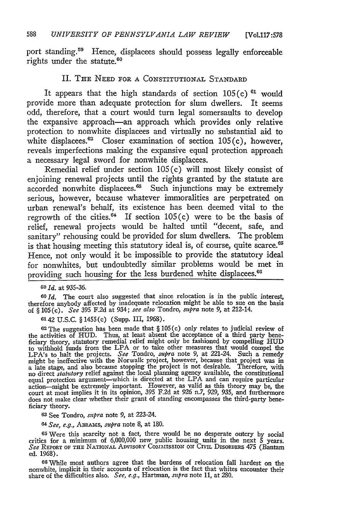port standing.<sup>59</sup> Hence, displacees should possess legally enforceable rights under the statute.<sup>60</sup>

#### II. THE **NEED** FOR **A CONSTITUTIONAL STANDARD**

It appears that the high standards of section 105(c) **61** would provide more than adequate protection for slum dwellers. It seems odd, therefore, that a court would turn legal somersaults to develop the expansive approach-an approach which provides only relative protection to nonwhite displacees and virtually no substantial aid to white displacees. $62$  Closer examination of section 105(c), however, reveals imperfections making the expansive equal protection approach a necessary legal sword for nonwhite displacees.

Remedial relief under section  $105(c)$  will most likely consist of enjoining renewal projects until the rights granted **by** the statute are accorded nonwhite displacees.<sup>63</sup> Such injunctions may be extremely serious, however, because whatever immoralities are perpetrated on urban renewal's behalf, its existence has been deemed vital to the regrowth of the cities.<sup>64</sup> If section  $105(c)$  were to be the basis of relief, renewal projects would be halted until "decent, safe, and sanitary" rehousing could be provided for slum dwellers. The problem is that housing meeting this statutory ideal is, of course, quite scarce.<sup>65</sup> Hence, not only would it be impossible to provide the statutory ideal for nonwhites, but undoubtedly similar problems would be met in providing such housing for the less burdened white displacees.<sup>66</sup>

*6 9 Id.* at 935-36.

*6oId.* The court also suggested that since relocation is in the public interest, therefore anybody affected by inadequate relocation might be able to sue on the basis of § 105 (c). *See* 395 **F.2d** at 934; *see also* Tondro, *supra* note 9, at 212-14.

**6142** U.S.C. § 1455(c) (Supp. III, 1968).

 $62$  The suggestion has been made that  $\S 105(c)$  only relates to judicial review of the activities of HUD. Thus, at least absent the acceptance of a third party bene-<br>ficiary theory, statutory remedial relief might only b LPA's to halt the projects. *See* Tondro, *supra* note 9, at 221-24. Such a remedy might be ineffective with the Norwalk project, however, because that project was in a late stage, and also because stopping the project is not desirable. Therefore, with no direct *statutory* relief against the local planning agency available, the constitutional equal protection argument—which is directed action-might be extremely important. However, as valid as this theory may be, the court at most implies it in its opinion, 395 F.2d at 926 n.7, 929, 935, and furthermore does not make clear whether their grant of standing encompasses the third-party beneficiary theory.

**<sup>63</sup>**See Tondro, *supra* note 9, at 223-24.

*<sup>64</sup>See, e.g., ABRAms, supra* note 8, at 180.

**<sup>65</sup>**Were this scarcity not a fact, there would be no desperate outcry by social critics for a minimum of 6,000,000 new public housing units in the next 5 years. *See* REPORT **OF** THE **NATIONAL** ADviSORY **CommiassSoN** ON CivmL DISORDERS 475 (Bantam ed. 1968).

<sup>66</sup> While most authors agree that the burdens of relocation fall hardest on the nonwhite, implicit in their accounts of relocation is the fact that whites encounter their share of the difficulties also. *See, e.g.,* Hartman, *supra* note 11, at 280.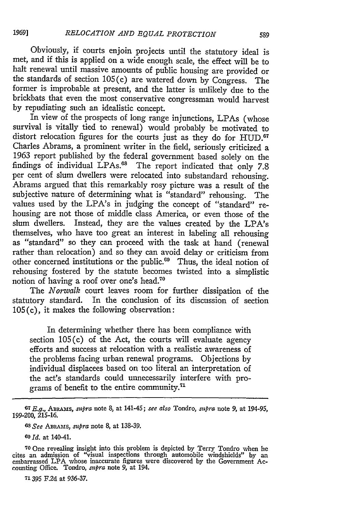*1969]*

met, and if this is applied on a wide enough scale, the effect will be to halt renewal until massive amounts of public housing are provided or the standards of section 105(c) are watered down by Congress. The former is improbable at present, and the latter is unlikely due to the brickbats that even the most conservative congressman would harvest by repudiating such an idealistic concept.

In view of the prospects of long range injunctions, LPAs (whose survival is vitally tied to renewal) would probably be motivated to distort relocation figures for the courts just as they do for **HUD.67** Charles Abrams, a prominent writer in the field, seriously criticized a 1963 report published by the federal government based solely on the findings of individual LPAs.<sup>68</sup> The report indicated that only 7.8 per cent of slum dwellers were relocated into substandard rehousing. Abrams argued that this remarkably rosy picture was a result of the subjective nature of determining what is "standard" rehousing. The values used by the LPA's in judging the concept of "standard" rehousing are not those of middle class America, or even those of the slum dwellers. Instead, they are the values created by the LPA's themselves, who have too great an interest in labeling all rehousing as "standard" so they can proceed with the task at hand (renewal rather than relocation) and so they can avoid delay or criticism from other concerned institutions or the public.<sup>69</sup> Thus, the ideal notion of rehousing fostered by the statute becomes twisted into a simplistic notion of having a roof over one's head.<sup>76</sup>

The *Norwalk* court leaves room for further dissipation of the statutory standard. In the conclusion of its discussion of section 105(c), it makes the following observation:

In determining whether there has been compliance with section 105(c) of the Act, the courts will evaluate agency efforts and success at relocation with a realistic awareness of the problems facing urban renewal programs. Objections by individual displacees based on too literal an interpretation of the act's standards could unnecessarily interfere with programs of benefit to the entire community.<sup>71</sup>

**71395** F.2d at 936-37.

**<sup>107</sup>***E.g.,* ABRAms, *supra* note 8, at 141-45; *see also* Tondro, *supra* note 9, at 194-95, 199-200, 215-16.

*Gs See AmAms, supra* note 8, at 138-39.

*<sup>6</sup> 0 Id.* at 140-41.

**<sup>70</sup>**One revealing insight into this problem is depicted by Terry Tondro when he cites an admission of "visual inspections through automobile windshields" by an embarrassed LPA whose inaccurate figures were discovered by the Government Accounting Office. Tondro, *supra* note 9, at 194.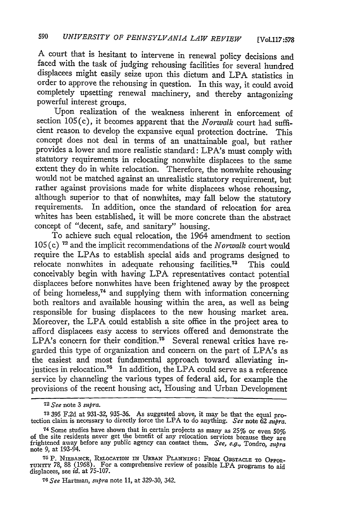**A** court that is hesitant to intervene in renewal policy decisions and faced with the task of judging rehousing facilities for several hundred displacees might easily seize upon this dictum and LPA statistics in order to approve the rehousing in question. In this way, it could avoid completely upsetting renewal machinery, and thereby antagonizing powerful interest groups.

Upon realization of the weakness inherent in enforcement of section 105(c), it becomes apparent that the *Norwalk* court had sufficient reason to develop the expansive equal protection doctrine. This concept does not deal in terms of an unattainable goal, but rather provides a lower and more realistic standard: LPA's must comply with statutory requirements in relocating nonwhite displacees to the same extent they do in white relocation. Therefore, the nonwhite rehousing would not be matched against an unrealistic statutory requirement, but rather against provisions made for white displacees whose rehousing, although superior to that of nonwhites, may fall below the statutory requirements. In addition, once the standard of relocation for area whites has been established, it will be more concrete than the abstract concept of "decent, safe, and sanitary" housing.

To achieve such equal relocation, the 1964 amendment to section **105** (c) 7 and the implicit recommendations of the *Norwalk* court would require the LPAs to establish special aids and programs designed to relocate nonwhites in adequate rehousing facilities.<sup>73</sup> This could conceivably begin with having LPA representatives contact potential displacees before nonwhites have been frightened away by the prospect of being homeless, 74 and supplying them with information concerning both realtors and available housing within the area, as well as being responsible for busing displacees to the new housing market area. Moreover, the LPA could establish a site office in the project area to afford displacees easy access to services offered and demonstrate the LPA's concern for their condition.<sup>75</sup> Several renewal critics have regarded this type of organization and concern on the part of LPA's as the easiest and most fundamental approach toward alleviating injustices in relocation.<sup>76</sup> In addition, the LPA could serve as a reference service by channeling the various types of federal aid, for example the provisions of the recent housing act, Housing and Urban Development

*<sup>72</sup> See* note 3 *supra.*

**<sup>73</sup>**395 F.2d at **931-32,** 935-36. As suggested above, it may be that the equal pro- tection claim is necessary to directly force the LPA to do anything. *See* note **62** *stpra.*

<sup>74</sup> Some studies have shown that in certain projects as many as **25%** or even 50% of the site residents never get the benefit of any relocation services because they are frightened away before any public agency can contact them. *See, e.g.,* Tondro, *47upra* note 9, at 193-94.

**<sup>7</sup>** p. **NIEBANCK,** RFLOCATION IN URBAN PLANNING: FROM **OBSTACLE TO OPiPOR-TUNrrv** 78, 88 (1968). For a comprehensive review of possible LPA programs to aid displacees, see *id.* **at** 75-107.

**<sup>76</sup>** *See* Hartman, *mtpra* note 11, at **329-30,** 342.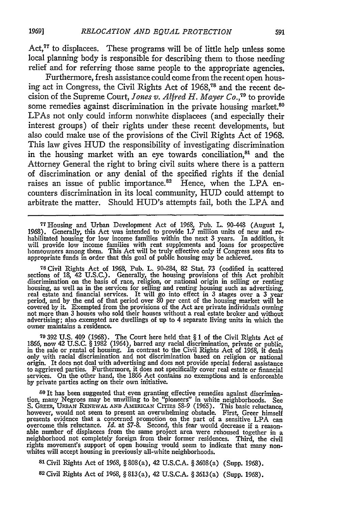Act, $77$  to displacees. These programs will be of little help unless some local planning body is responsible for describing them to those needing relief and for referring those same people to the appropriate agencies.

Furthermore, fresh assistance could come from the recent open housing act in Congress, the Civil Rights Act of 1968,78 and the recent decision of the Supreme Court, *Jones v. Alfred H. Mayer Co., <sup>9</sup>*to provide some remedies against discrimination in the private housing market.<sup>80</sup> LPAs not only could inform nonwhite displacees (and especially their interest groups) of their rights under these recent developments, but also could make use of the provisions of the Civil Rights Act of 1968. This law gives **HUD** the responsibility of investigating discrimination in the housing market with an eye towards conciliation, $81$  and the Attorney General the right to bring civil suits where there is a pattern of discrimination or any denial of the specified rights if the denial raises an issue of public importance. $82$  Hence, when the LPA encounters discrimination in its local community, HUD could attempt to arbitrate the matter. Should HUD's attempts fail, both the LPA and

77 Housing and Urban Development Act of 1968, Pub. L. 90-448 (August 1, 1968). Generally, this Act was intended to provide **1.7** million units of new and re- habilitated housing for low income families within the next 3 years. In addition, it will provide low income families with rent supplements and loans for prospective<br>homeowners among them. This Act will be truly effective only if Congress sees fits to<br>appropriate funds in order that this goal of public hou

**<sup>78</sup>**Civil Rights Act of 1968, Pub. L. 90-284, 82 Stat 73 (codified in scattered sections of **18,** 42 U.S.C.). Generally, the housing provisions of this Act prohibit discrimination on the basis of race, religion, or national origin in selling or renting housing, as well as in the services for selling and renting housing such as advertising, real estate and financial services. It will go into effect in 3 stages over a 3 year period, and by the end of that period over 80 pe advertising; also exempted are dwellings of up to 4 separate living units in which the owner maintains a residence.

**79 392 U.S.** 409 **(1968).** The Court here held that § 1 of the Civil Rights Act of **1866,** now 42 **U.S.C.** § 1982 (1964), barred any racial discrimination, private or public, in the sale or rental of housing. In contrast to the Civil Rights Act of **1968,** it deals only with racial discrimination and not discrimination based on religion or national origin. It does not deal with advertising and does not provide special federal assistance to aggrieved parties. Furthermore, it does not specifically cover real estate or financial services. On the other hand, the **1866** Act contains no exemptions and is enforceable **by** private parties acting on their own initiative.

**0** It has been suggested that even granting effective remedies against discrimination, many Negroes may be unwilling to be "pioneers" in white neighborhoods. See S. GREER, URBAN RENEWAL AND AMERICAN CITIES 58-9 (1965). This basic reluctance however, would not seem to present an overwhelming obstacle. First, Greer himself presents evidence that a concerned promotion on the part of a sensitive LPA can<br>overcome this reluctance. *Id.* at 57-8. Second, this fear would decrease if a reason-<br>able number of displacees from the same project area we rights movement's support of open housing would seem to indicate that many non- vhites will accept housing in previously all-white neighborhoods.

**81** Civil Rights Act of 1968, § 808(a), 42 **U.S.C.A.** § 3608(a) (Supp. 1968).

**82** Civil Rights Act of 1968, § 813(a), 42 U.S.C.A. § 3613(a) (Supp. 1968).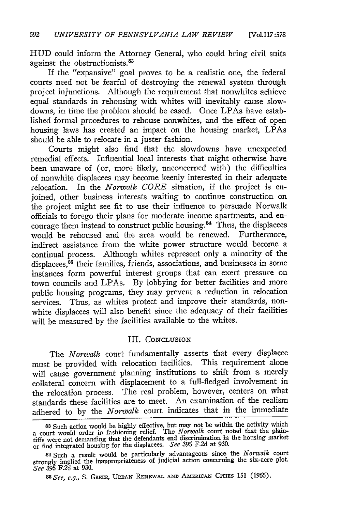**HUD** could inform the Attorney General, who could bring civil suits against the obstructionists.

If the "expansive" goal proves to be a realistic one, the federal courts need not be fearful of destroying the renewal system through project injunctions. Although the requirement that nonwhites achieve equal standards in rehousing with whites will inevitably cause slowdowns, in time the problem should be eased. Once LPAs have established formal procedures to rehouse nonwhites, and the effect of open housing laws has created an impact on the housing market, LPAs should be able to relocate in a juster fashion.

Courts might also find that the slowdowns have unexpected remedial effects. Influential local interests that might otherwise have been unaware of (or, more likely, unconcerned with) the difficulties of nonwhite displacees may become keenly interested in their adequate relocation. In the *Norwalk CORE* situation, if the project is enjoined, other business interests waiting to continue construction on the project might see fit to use their influence to persuade Norwalk officials to forego their plans for moderate income apartments, and encourage them instead to construct public housing.<sup>84</sup> Thus, the displacees would be rehoused and the area would be renewed. Furthermore, indirect assistance from the white power structure would become a continual process. Although whites represent only a minority of the displacees,<sup>85</sup> their families, friends, associations, and businesses in some instances form powerful interest groups that can exert pressure on town councils and LPAs. **By** lobbying for better facilities and more public housing programs, they may prevent a reduction in relocation services. Thus, as whites protect and improve their standards, nonwhite displacees will also benefit since the adequacy of their facilities will be measured by the facilities available to the whites.

#### III. CONCLUSION

The *Norwalk* court fundamentally asserts that every displacee must be provided with relocation facilities. This requirement alone will cause government planning institutions to shift from a merely collateral concern with displacement to a full-fledged involvement in the relocation process. The real problem, however, centers on what standards these facilities are to meet. An examination of the realism adhered to by the *Norwalk* court indicates that in the immediate

**<sup>83</sup>**Such action would be highly effective, but may not be within the activity which court would order in fashioning relief. The *Norwalk* court noted that the plain-<br>tiffs were not demanding that the defendants end discrimination in the housing market or find integrated housing for the displacees. *See* 395 F.2d at 930.

**<sup>84</sup>**Such a result would be particularly advantageous since the *Norwalk* court strongly implied the inappropriateness of judicial action concerning the six-acre plot. *See* 395 F.2d at 930.

*s <sup>5</sup> See, e.g.,* **S.** GREE, **URBAN RENEWAL AND AmERIcA\_&** CITms 151 (1965).